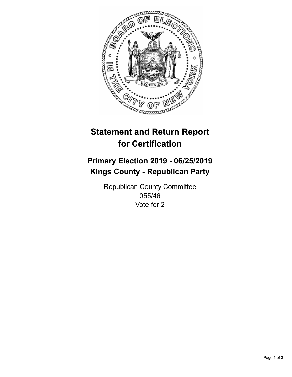

## **Statement and Return Report for Certification**

## **Primary Election 2019 - 06/25/2019 Kings County - Republican Party**

Republican County Committee 055/46 Vote for 2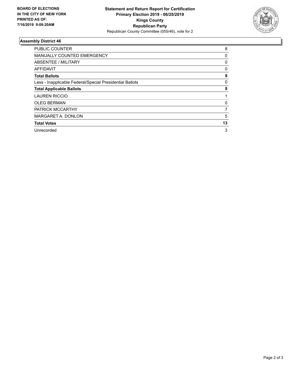

## **Assembly District 46**

| <b>PUBLIC COUNTER</b>                                    | 8            |
|----------------------------------------------------------|--------------|
| <b>MANUALLY COUNTED EMERGENCY</b>                        | 0            |
| ABSENTEE / MILITARY                                      | $\mathbf{0}$ |
| AFFIDAVIT                                                | 0            |
| <b>Total Ballots</b>                                     | 8            |
| Less - Inapplicable Federal/Special Presidential Ballots | 0            |
| <b>Total Applicable Ballots</b>                          | 8            |
| <b>LAUREN RICCIO</b>                                     |              |
| <b>OLEG BERMAN</b>                                       | 0            |
| <b>PATRICK MCCARTHY</b>                                  | 7            |
| MARGARET A. DONLON                                       | 5            |
| <b>Total Votes</b>                                       | 13           |
| Unrecorded                                               | 3            |